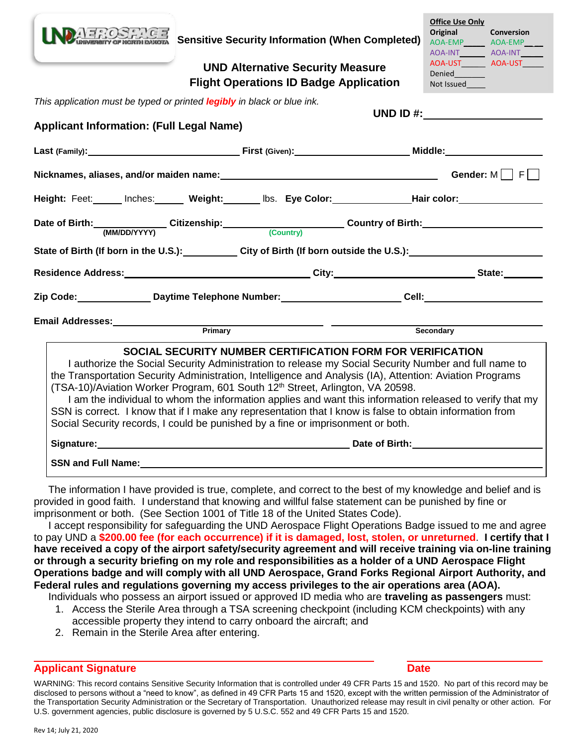

**Sensitive Security Information (When Completed)**

## **UND Alternative Security Measure Flight Operations ID Badge Application**

| <b>Office Use Only</b> |                |  |  |  |  |
|------------------------|----------------|--|--|--|--|
| Original               | Conversion     |  |  |  |  |
|                        | <b>AOA-EMP</b> |  |  |  |  |
| AOA-INT                | AOA-INT        |  |  |  |  |
| AOA-UST                | AOA-UST        |  |  |  |  |
| Denied                 |                |  |  |  |  |
| Not Issued             |                |  |  |  |  |
|                        |                |  |  |  |  |
|                        |                |  |  |  |  |
| UND ID $#$ :           |                |  |  |  |  |
|                        |                |  |  |  |  |
|                        |                |  |  |  |  |
| Middle:                |                |  |  |  |  |
|                        |                |  |  |  |  |
|                        | <b>AOA-EMP</b> |  |  |  |  |

*This application must be typed or printed legibly in black or blue ink.*

**Applicant Information: (Full Legal Name)**

| Height: Feet:______ Inches:______ Weight:_______ Ibs. Eye Color:_______________Hair color:__________                                                                                                                                                                                                                                                                                                 |                                                            |                                                                                                                                                                                                                  |
|------------------------------------------------------------------------------------------------------------------------------------------------------------------------------------------------------------------------------------------------------------------------------------------------------------------------------------------------------------------------------------------------------|------------------------------------------------------------|------------------------------------------------------------------------------------------------------------------------------------------------------------------------------------------------------------------|
|                                                                                                                                                                                                                                                                                                                                                                                                      |                                                            |                                                                                                                                                                                                                  |
| State of Birth (If born in the U.S.):___________City of Birth (If born outside the U.S.):_____________________                                                                                                                                                                                                                                                                                       |                                                            |                                                                                                                                                                                                                  |
|                                                                                                                                                                                                                                                                                                                                                                                                      |                                                            |                                                                                                                                                                                                                  |
|                                                                                                                                                                                                                                                                                                                                                                                                      |                                                            |                                                                                                                                                                                                                  |
|                                                                                                                                                                                                                                                                                                                                                                                                      |                                                            |                                                                                                                                                                                                                  |
|                                                                                                                                                                                                                                                                                                                                                                                                      |                                                            | Secondary                                                                                                                                                                                                        |
| the Transportation Security Administration, Intelligence and Analysis (IA), Attention: Aviation Programs<br>(TSA-10)/Aviation Worker Program, 601 South 12 <sup>th</sup> Street, Arlington, VA 20598.<br>SSN is correct. I know that if I make any representation that I know is false to obtain information from<br>Social Security records, I could be punished by a fine or imprisonment or both. | SOCIAL SECURITY NUMBER CERTIFICATION FORM FOR VERIFICATION | I authorize the Social Security Administration to release my Social Security Number and full name to<br>I am the individual to whom the information applies and want this information released to verify that my |
|                                                                                                                                                                                                                                                                                                                                                                                                      |                                                            |                                                                                                                                                                                                                  |
| <b>SSN and Full Name:</b>                                                                                                                                                                                                                                                                                                                                                                            |                                                            |                                                                                                                                                                                                                  |

 The information I have provided is true, complete, and correct to the best of my knowledge and belief and is provided in good faith. I understand that knowing and willful false statement can be punished by fine or imprisonment or both. (See Section 1001 of Title 18 of the United States Code).

 I accept responsibility for safeguarding the UND Aerospace Flight Operations Badge issued to me and agree to pay UND a **\$200.00 fee (for each occurrence) if it is damaged, lost, stolen, or unreturned**. **I certify that I have received a copy of the airport safety/security agreement and will receive training via on-line training or through a security briefing on my role and responsibilities as a holder of a UND Aerospace Flight Operations badge and will comply with all UND Aerospace, Grand Forks Regional Airport Authority, and Federal rules and regulations governing my access privileges to the air operations area (AOA).**

Individuals who possess an airport issued or approved ID media who are **traveling as passengers** must:

- 1. Access the Sterile Area through a TSA screening checkpoint (including KCM checkpoints) with any accessible property they intend to carry onboard the aircraft; and
- 2. Remain in the Sterile Area after entering.

## **Applicant Signature Date**

WARNING: This record contains Sensitive Security Information that is controlled under 49 CFR Parts 15 and 1520. No part of this record may be disclosed to persons without a "need to know", as defined in 49 CFR Parts 15 and 1520, except with the written permission of the Administrator of the Transportation Security Administration or the Secretary of Transportation. Unauthorized release may result in civil penalty or other action. For U.S. government agencies, public disclosure is governed by 5 U.S.C. 552 and 49 CFR Parts 15 and 1520.